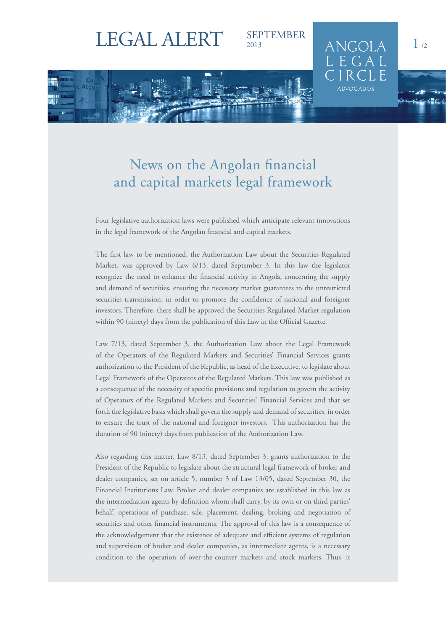## LEGAL ALERT | SEPTEMBER

## News on the Angolan financial and capital markets legal framework

Four legislative authorization laws were published which anticipate relevant innovations in the legal framework of the Angolan financial and capital markets.

The first law to be mentioned, the Authorization Law about the Securities Regulated Market, was approved by Law 6/13, dated September 3. In this law the legislator recognize the need to enhance the financial activity in Angola, concerning the supply and demand of securities, ensuring the necessary market guarantees to the unrestricted securities transmission, in order to promote the confidence of national and foreigner investors. Therefore, there shall be approved the Securities Regulated Market regulation within 90 (ninety) days from the publication of this Law in the Official Gazette.

Law 7/13, dated September 3, the Authorization Law about the Legal Framework of the Operators of the Regulated Markets and Securities' Financial Services grants authorization to the President of the Republic, as head of the Executive, to legislate about Legal Framework of the Operators of the Regulated Markets. This law was published as a consequence of the necessity of specific provisions and regulation to govern the activity of Operators of the Regulated Markets and Securities' Financial Services and that set forth the legislative basis which shall govern the supply and demand of securities, in order to ensure the trust of the national and foreigner investors. This authorization has the duration of 90 (ninety) days from publication of the Authorization Law.

Also regarding this matter, Law 8/13, dated September 3, grants authorization to the President of the Republic to legislate about the structural legal framework of broker and dealer companies, set on article 5, number 3 of Law 13/05, dated September 30, the Financial Institutions Law. Broker and dealer companies are established in this law as the intermediation agents by definition whom shall carry, by its own or on third parties' behalf, operations of purchase, sale, placement, dealing, broking and negotiation of securities and other financial instruments. The approval of this law is a consequence of the acknowledgement that the existence of adequate and efficient systems of regulation and supervision of broker and dealer companies, as intermediate agents, is a necessary condition to the operation of over-the-counter markets and stock markets. Thus, it

 $ANGOLA$ 

ADVOCADOS